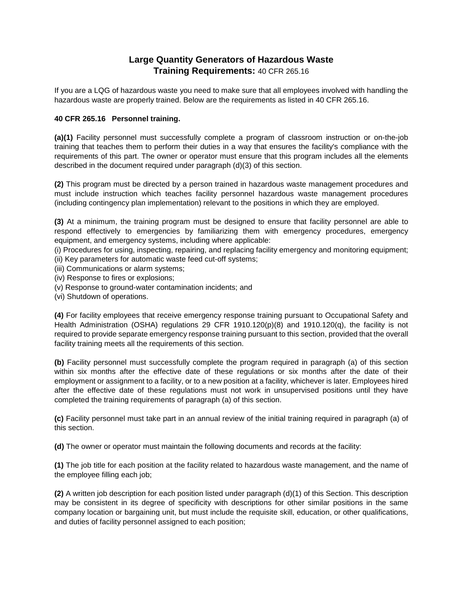## **Large Quantity Generators of Hazardous Waste Training Requirements:** 40 CFR 265.16

If you are a LQG of hazardous waste you need to make sure that all employees involved with handling the hazardous waste are properly trained. Below are the requirements as listed in 40 CFR 265.16.

## **40 CFR 265.16 Personnel training.**

**(a)(1)** Facility personnel must successfully complete a program of classroom instruction or on-the-job training that teaches them to perform their duties in a way that ensures the facility's compliance with the requirements of this part. The owner or operator must ensure that this program includes all the elements described in the document required under paragraph (d)(3) of this section.

**(2)** This program must be directed by a person trained in hazardous waste management procedures and must include instruction which teaches facility personnel hazardous waste management procedures (including contingency plan implementation) relevant to the positions in which they are employed.

**(3)** At a minimum, the training program must be designed to ensure that facility personnel are able to respond effectively to emergencies by familiarizing them with emergency procedures, emergency equipment, and emergency systems, including where applicable:

(i) Procedures for using, inspecting, repairing, and replacing facility emergency and monitoring equipment; (ii) Key parameters for automatic waste feed cut-off systems;

(iii) Communications or alarm systems;

- (iv) Response to fires or explosions;
- (v) Response to ground-water contamination incidents; and
- (vi) Shutdown of operations.

**(4)** For facility employees that receive emergency response training pursuant to Occupational Safety and Health Administration (OSHA) regulations 29 CFR 1910.120(p)(8) and 1910.120(q), the facility is not required to provide separate emergency response training pursuant to this section, provided that the overall facility training meets all the requirements of this section.

**(b)** Facility personnel must successfully complete the program required in paragraph (a) of this section within six months after the effective date of these regulations or six months after the date of their employment or assignment to a facility, or to a new position at a facility, whichever is later. Employees hired after the effective date of these regulations must not work in unsupervised positions until they have completed the training requirements of paragraph (a) of this section.

**(c)** Facility personnel must take part in an annual review of the initial training required in paragraph (a) of this section.

**(d)** The owner or operator must maintain the following documents and records at the facility:

**(1)** The job title for each position at the facility related to hazardous waste management, and the name of the employee filling each job;

**(2)** A written job description for each position listed under paragraph (d)(1) of this Section. This description may be consistent in its degree of specificity with descriptions for other similar positions in the same company location or bargaining unit, but must include the requisite skill, education, or other qualifications, and duties of facility personnel assigned to each position;